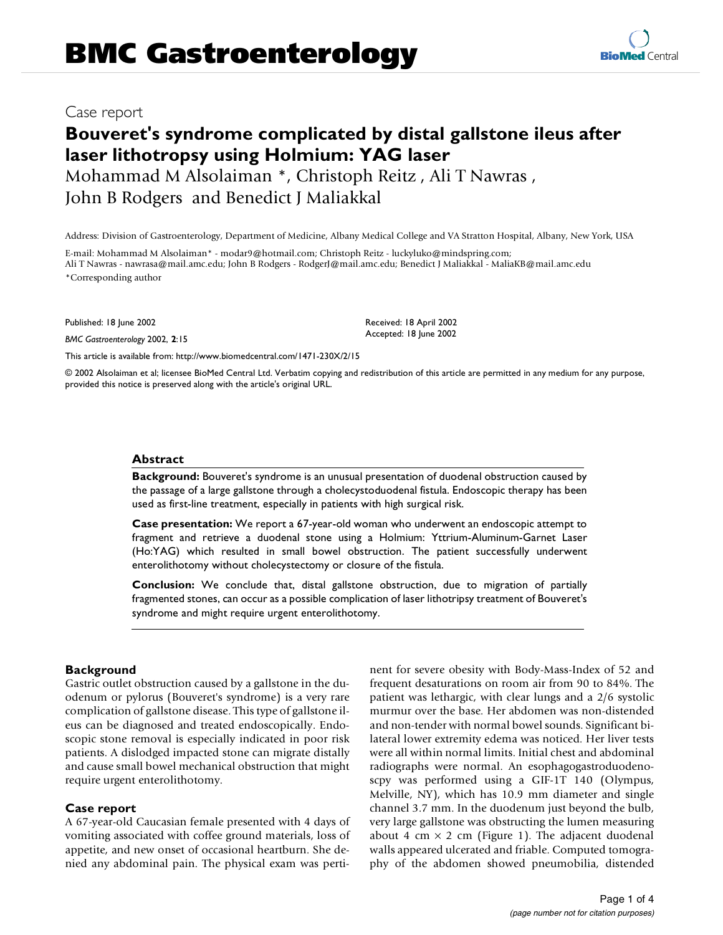## Case report

# **Bouveret's syndrome complicated by distal gallstone ileus after laser lithotropsy using Holmium: YAG laser**

Mohammad M Alsolaiman \*, Christoph Reitz , Ali T Nawras , John B Rodgers and Benedict J Maliakkal

Address: Division of Gastroenterology, Department of Medicine, Albany Medical College and VA Stratton Hospital, Albany, New York, USA

E-mail: Mohammad M Alsolaiman\* - modar9@hotmail.com; Christoph Reitz - luckyluko@mindspring.com; Ali T Nawras - nawrasa@mail.amc.edu; John B Rodgers - RodgerJ@mail.amc.edu; Benedict J Maliakkal - MaliaKB@mail.amc.edu \*Corresponding author

Published: 18 June 2002

*BMC Gastroenterology* 2002, **2**:15

Received: 18 April 2002 Accepted: 18 June 2002

[This article is available from: http://www.biomedcentral.com/1471-230X/2/15](http://www.biomedcentral.com/1471-230X/2/15)

© 2002 Alsolaiman et al; licensee BioMed Central Ltd. Verbatim copying and redistribution of this article are permitted in any medium for any purpose, provided this notice is preserved along with the article's original URL.

#### **Abstract**

**Background:** Bouveret's syndrome is an unusual presentation of duodenal obstruction caused by the passage of a large gallstone through a cholecystoduodenal fistula. Endoscopic therapy has been used as first-line treatment, especially in patients with high surgical risk.

**Case presentation:** We report a 67-year-old woman who underwent an endoscopic attempt to fragment and retrieve a duodenal stone using a Holmium: Yttrium-Aluminum-Garnet Laser (Ho:YAG) which resulted in small bowel obstruction. The patient successfully underwent enterolithotomy without cholecystectomy or closure of the fistula.

**Conclusion:** We conclude that, distal gallstone obstruction, due to migration of partially fragmented stones, can occur as a possible complication of laser lithotripsy treatment of Bouveret's syndrome and might require urgent enterolithotomy.

## **Background**

Gastric outlet obstruction caused by a gallstone in the duodenum or pylorus (Bouveret's syndrome) is a very rare complication of gallstone disease. This type of gallstone ileus can be diagnosed and treated endoscopically. Endoscopic stone removal is especially indicated in poor risk patients. A dislodged impacted stone can migrate distally and cause small bowel mechanical obstruction that might require urgent enterolithotomy.

#### **Case report**

A 67-year-old Caucasian female presented with 4 days of vomiting associated with coffee ground materials, loss of appetite, and new onset of occasional heartburn. She denied any abdominal pain. The physical exam was pertinent for severe obesity with Body-Mass-Index of 52 and frequent desaturations on room air from 90 to 84%. The patient was lethargic, with clear lungs and a 2/6 systolic murmur over the base. Her abdomen was non-distended and non-tender with normal bowel sounds. Significant bilateral lower extremity edema was noticed. Her liver tests were all within normal limits. Initial chest and abdominal radiographs were normal. An esophagogastroduodenoscpy was performed using a GIF-1T 140 (Olympus, Melville, NY), which has 10.9 mm diameter and single channel 3.7 mm. In the duodenum just beyond the bulb, very large gallstone was obstructing the lumen measuring about 4 cm  $\times$  2 cm (Figure 1). The adjacent duodenal walls appeared ulcerated and friable. Computed tomography of the abdomen showed pneumobilia, distended

**[BioMed](http://www.biomedcentral.com/)** Central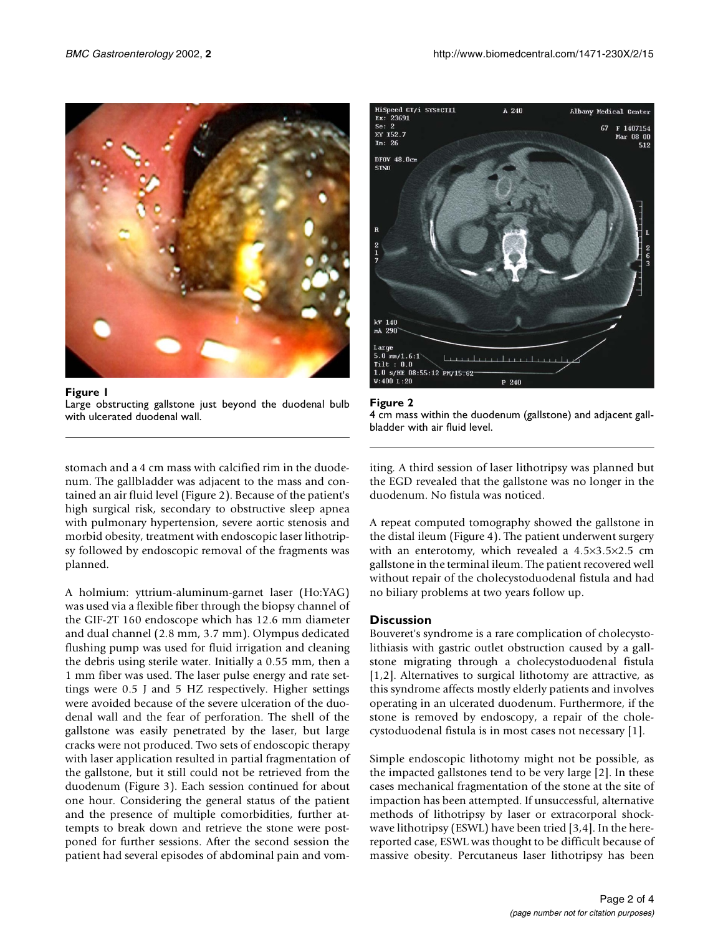

**Figure 1** Large obstructing gallstone just beyond the duodenal bulb with ulcerated duodenal wall.



**Figure 2**



stomach and a 4 cm mass with calcified rim in the duodenum. The gallbladder was adjacent to the mass and contained an air fluid level (Figure 2). Because of the patient's high surgical risk, secondary to obstructive sleep apnea with pulmonary hypertension, severe aortic stenosis and morbid obesity, treatment with endoscopic laser lithotripsy followed by endoscopic removal of the fragments was planned.

A holmium: yttrium-aluminum-garnet laser (Ho:YAG) was used via a flexible fiber through the biopsy channel of the GIF-2T 160 endoscope which has 12.6 mm diameter and dual channel (2.8 mm, 3.7 mm). Olympus dedicated flushing pump was used for fluid irrigation and cleaning the debris using sterile water. Initially a 0.55 mm, then a 1 mm fiber was used. The laser pulse energy and rate settings were 0.5 J and 5 HZ respectively. Higher settings were avoided because of the severe ulceration of the duodenal wall and the fear of perforation. The shell of the gallstone was easily penetrated by the laser, but large cracks were not produced. Two sets of endoscopic therapy with laser application resulted in partial fragmentation of the gallstone, but it still could not be retrieved from the duodenum (Figure 3). Each session continued for about one hour. Considering the general status of the patient and the presence of multiple comorbidities, further attempts to break down and retrieve the stone were postponed for further sessions. After the second session the patient had several episodes of abdominal pain and vomiting. A third session of laser lithotripsy was planned but the EGD revealed that the gallstone was no longer in the duodenum. No fistula was noticed.

A repeat computed tomography showed the gallstone in the distal ileum (Figure 4). The patient underwent surgery with an enterotomy, which revealed a 4.5×3.5×2.5 cm gallstone in the terminal ileum. The patient recovered well without repair of the cholecystoduodenal fistula and had no biliary problems at two years follow up.

## **Discussion**

Bouveret's syndrome is a rare complication of cholecystolithiasis with gastric outlet obstruction caused by a gallstone migrating through a cholecystoduodenal fistula [1,2]. Alternatives to surgical lithotomy are attractive, as this syndrome affects mostly elderly patients and involves operating in an ulcerated duodenum. Furthermore, if the stone is removed by endoscopy, a repair of the cholecystoduodenal fistula is in most cases not necessary [1].

Simple endoscopic lithotomy might not be possible, as the impacted gallstones tend to be very large [2]. In these cases mechanical fragmentation of the stone at the site of impaction has been attempted. If unsuccessful, alternative methods of lithotripsy by laser or extracorporal shockwave lithotripsy (ESWL) have been tried [3,4]. In the herereported case, ESWL was thought to be difficult because of massive obesity. Percutaneus laser lithotripsy has been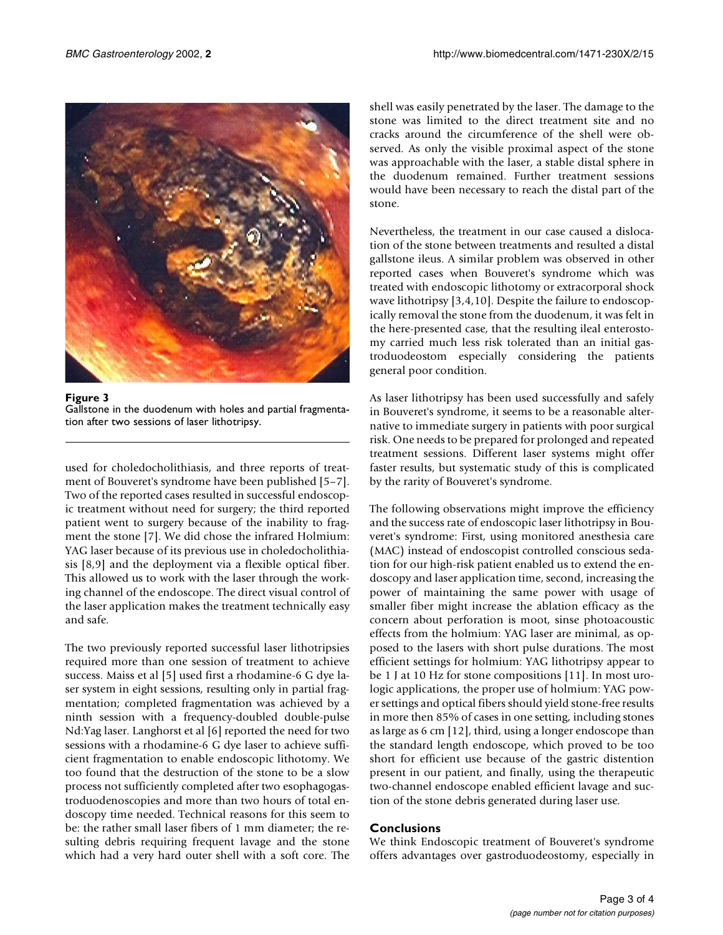

**Figure 3** Gallstone in the duodenum with holes and partial fragmentation after two sessions of laser lithotripsy.

used for choledocholithiasis, and three reports of treatment of Bouveret's syndrome have been published [5–7]. Two of the reported cases resulted in successful endoscopic treatment without need for surgery; the third reported patient went to surgery because of the inability to fragment the stone [7]. We did chose the infrared Holmium: YAG laser because of its previous use in choledocholithiasis [8,9] and the deployment via a flexible optical fiber. This allowed us to work with the laser through the working channel of the endoscope. The direct visual control of the laser application makes the treatment technically easy and safe.

The two previously reported successful laser lithotripsies required more than one session of treatment to achieve success. Maiss et al [5] used first a rhodamine-6 G dye laser system in eight sessions, resulting only in partial fragmentation; completed fragmentation was achieved by a ninth session with a frequency-doubled double-pulse Nd:Yag laser. Langhorst et al [6] reported the need for two sessions with a rhodamine-6 G dye laser to achieve sufficient fragmentation to enable endoscopic lithotomy. We too found that the destruction of the stone to be a slow process not sufficiently completed after two esophagogastroduodenoscopies and more than two hours of total endoscopy time needed. Technical reasons for this seem to be: the rather small laser fibers of 1 mm diameter; the resulting debris requiring frequent lavage and the stone which had a very hard outer shell with a soft core. The shell was easily penetrated by the laser. The damage to the stone was limited to the direct treatment site and no cracks around the circumference of the shell were observed. As only the visible proximal aspect of the stone was approachable with the laser, a stable distal sphere in the duodenum remained. Further treatment sessions would have been necessary to reach the distal part of the stone.

Nevertheless, the treatment in our case caused a dislocation of the stone between treatments and resulted a distal gallstone ileus. A similar problem was observed in other reported cases when Bouveret's syndrome which was treated with endoscopic lithotomy or extracorporal shock wave lithotripsy [3,4,10]. Despite the failure to endoscopically removal the stone from the duodenum, it was felt in the here-presented case, that the resulting ileal enterostomy carried much less risk tolerated than an initial gastroduodeostom especially considering the patients general poor condition.

As laser lithotripsy has been used successfully and safely in Bouveret's syndrome, it seems to be a reasonable alternative to immediate surgery in patients with poor surgical risk. One needs to be prepared for prolonged and repeated treatment sessions. Different laser systems might offer faster results, but systematic study of this is complicated by the rarity of Bouveret's syndrome.

The following observations might improve the efficiency and the success rate of endoscopic laser lithotripsy in Bouveret's syndrome: First, using monitored anesthesia care (MAC) instead of endoscopist controlled conscious sedation for our high-risk patient enabled us to extend the endoscopy and laser application time, second, increasing the power of maintaining the same power with usage of smaller fiber might increase the ablation efficacy as the concern about perforation is moot, sinse photoacoustic effects from the holmium: YAG laser are minimal, as opposed to the lasers with short pulse durations. The most efficient settings for holmium: YAG lithotripsy appear to be 1 J at 10 Hz for stone compositions [11]. In most urologic applications, the proper use of holmium: YAG power settings and optical fibers should yield stone-free results in more then 85% of cases in one setting, including stones as large as 6 cm [12], third, using a longer endoscope than the standard length endoscope, which proved to be too short for efficient use because of the gastric distention present in our patient, and finally, using the therapeutic two-channel endoscope enabled efficient lavage and suction of the stone debris generated during laser use.

## **Conclusions**

We think Endoscopic treatment of Bouveret's syndrome offers advantages over gastroduodeostomy, especially in